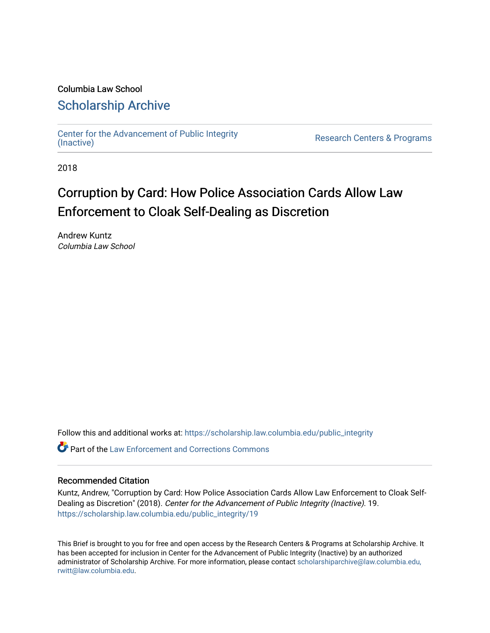# Columbia Law School [Scholarship Archive](https://scholarship.law.columbia.edu/)

[Center for the Advancement of Public Integrity](https://scholarship.law.columbia.edu/public_integrity)<br>(Inactive)

Research Centers & Programs

2018

# Corruption by Card: How Police Association Cards Allow Law Enforcement to Cloak Self-Dealing as Discretion

Andrew Kuntz Columbia Law School

Follow this and additional works at: [https://scholarship.law.columbia.edu/public\\_integrity](https://scholarship.law.columbia.edu/public_integrity?utm_source=scholarship.law.columbia.edu%2Fpublic_integrity%2F19&utm_medium=PDF&utm_campaign=PDFCoverPages)

Part of the [Law Enforcement and Corrections Commons](http://network.bepress.com/hgg/discipline/854?utm_source=scholarship.law.columbia.edu%2Fpublic_integrity%2F19&utm_medium=PDF&utm_campaign=PDFCoverPages) 

#### Recommended Citation

Kuntz, Andrew, "Corruption by Card: How Police Association Cards Allow Law Enforcement to Cloak Self-Dealing as Discretion" (2018). Center for the Advancement of Public Integrity (Inactive). 19. [https://scholarship.law.columbia.edu/public\\_integrity/19](https://scholarship.law.columbia.edu/public_integrity/19?utm_source=scholarship.law.columbia.edu%2Fpublic_integrity%2F19&utm_medium=PDF&utm_campaign=PDFCoverPages) 

This Brief is brought to you for free and open access by the Research Centers & Programs at Scholarship Archive. It has been accepted for inclusion in Center for the Advancement of Public Integrity (Inactive) by an authorized administrator of Scholarship Archive. For more information, please contact [scholarshiparchive@law.columbia.edu,](mailto:scholarshiparchive@law.columbia.edu,%20rwitt@law.columbia.edu)  [rwitt@law.columbia.edu.](mailto:scholarshiparchive@law.columbia.edu,%20rwitt@law.columbia.edu)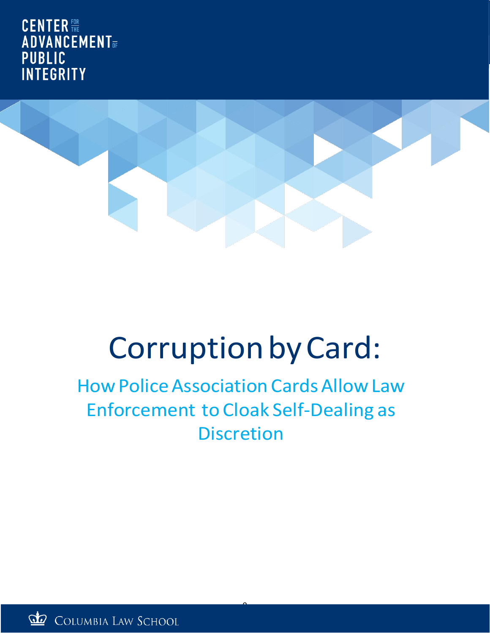**CENTER ADVANCEMENT**<sub>OF</sub> **PUBLIC INTEGRITY** 



# Corruption by Card:

# **How Police Association Cards Allow Law** Enforcement to Cloak Self-Dealing as **Discretion**

0

COLUMBIA LAW SCHOOL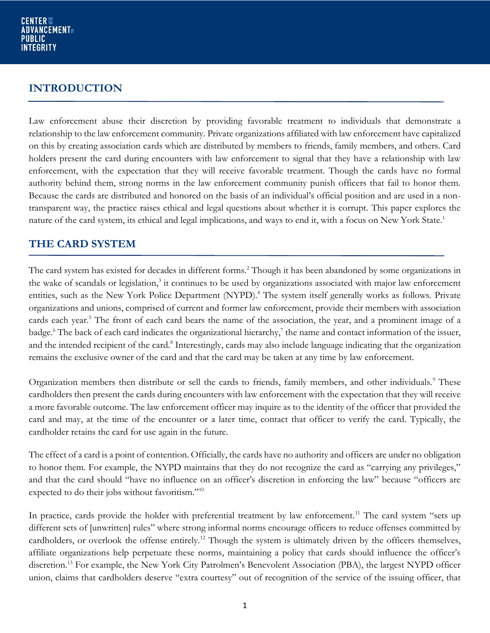### **INTRODUCTION**

Law enforcement abuse their discretion by providing favorable treatment to individuals that demonstrate a relationship to the law enforcement community. Private organizations affiliated with law enforcement have capitalized on this by creating association cards which are distributed by members to friends, family members, and others. Card holders present the card during encounters with law enforcement to signal that they have a relationship with law enforcement, with the expectation that they will receive favorable treatment. Though the cards have no formal authority behind them, strong norms in the law enforcement community punish officers that fail to honor them. Because the cards are distributed and honored on the basis of an individual's official position and are used in a nontransparent way, the practice raises ethical and legal questions about whether it is corrupt. This paper explores the nature of the card system, its ethical and legal implications, and ways to end it, with a focus on New York State.<sup>1</sup>

### **THE CARD SYSTEM**

<span id="page-2-1"></span><span id="page-2-0"></span>The card system has existed for decades in different forms.<sup>2</sup> Though it has been abandoned by some organizations in the wake of scandals or legislation,<sup>3</sup> it continues to be used by organizations associated with major law enforcement entities, such as the New York Police Department (NYPD).<sup>4</sup> The system itself generally works as follows. Private organizations and unions, comprised of current and former law enforcement, provide their members with association cards each year.<sup>5</sup> The front of each card bears the name of the association, the year, and a prominent image of a badge.<sup>6</sup> The back of each card indicates the organizational hierarchy,<sup>7</sup> the name and contact information of the issuer, and the intended recipient of the card.<sup>8</sup> Interestingly, cards may also include language indicating that the organization remains the exclusive owner of the card and that the card may be taken at any time by law enforcement.

Organization members then distribute or sell the cards to friends, family members, and other individuals.<sup>9</sup> These cardholders then present the cards during encounters with law enforcement with the expectation that they will receive a more favorable outcome. The law enforcement officer may inquire as to the identity of the officer that provided the card and may, at the time of the encounter or a later time, contact that officer to verify the card. Typically, the cardholder retains the card for use again in the future.

The effect of a card is a point of contention. Officially, the cards have no authority and officers are under no obligation to honor them. For example, the NYPD maintains that they do not recognize the card as "carrying any privileges," and that the card should "have no influence on an officer's discretion in enforcing the law" because "officers are expected to do their jobs without favoritism."<sup>10</sup>

In practice, cards provide the holder with preferential treatment by law enforcement.<sup>11</sup> The card system "sets up different sets of [unwritten] rules" where strong informal norms encourage officers to reduce offenses committed by cardholders, or overlook the offense entirely.<sup>12</sup> Though the system is ultimately driven by the officers themselves, affiliate organizations help perpetuate these norms, maintaining a policy that cards should influence the officer's discretion.<sup>13</sup> For example, the New York City Patrolmen's Benevolent Association (PBA), the largest NYPD officer union, claims that cardholders deserve "extra courtesy" out of recognition of the service of the issuing officer, that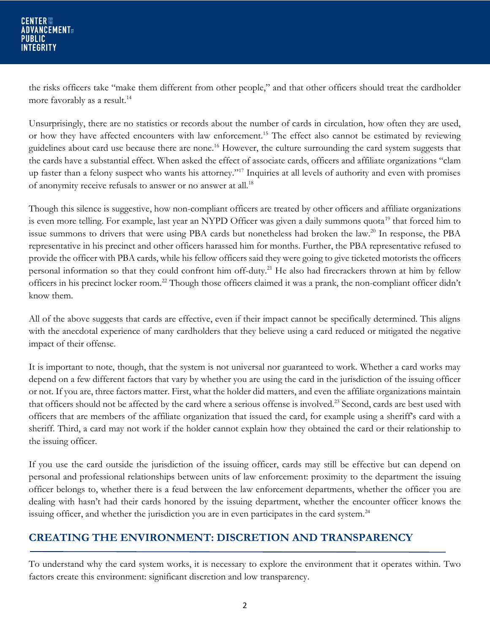the risks officers take "make them different from other people," and that other officers should treat the cardholder more favorably as a result.<sup>14</sup>

Unsurprisingly, there are no statistics or records about the number of cards in circulation, how often they are used, or how they have affected encounters with law enforcement.<sup>15</sup> The effect also cannot be estimated by reviewing guidelines about card use because there are none.<sup>16</sup> However, the culture surrounding the card system suggests that the cards have a substantial effect. When asked the effect of associate cards, officers and affiliate organizations "clam up faster than a felony suspect who wants his attorney."<sup>17</sup> Inquiries at all levels of authority and even with promises of anonymity receive refusals to answer or no answer at all.<sup>18</sup>

Though this silence is suggestive, how non-compliant officers are treated by other officers and affiliate organizations is even more telling. For example, last year an NYPD Officer was given a daily summons quota<sup>19</sup> that forced him to issue summons to drivers that were using PBA cards but nonetheless had broken the law.<sup>20</sup> In response, the PBA representative in his precinct and other officers harassed him for months. Further, the PBA representative refused to provide the officer with PBA cards, while his fellow officers said they were going to give ticketed motorists the officers personal information so that they could confront him off-duty.<sup>21</sup> He also had firecrackers thrown at him by fellow officers in his precinct locker room.<sup>22</sup> Though those officers claimed it was a prank, the non-compliant officer didn't know them.

All of the above suggests that cards are effective, even if their impact cannot be specifically determined. This aligns with the anecdotal experience of many cardholders that they believe using a card reduced or mitigated the negative impact of their offense.

It is important to note, though, that the system is not universal nor guaranteed to work. Whether a card works may depend on a few different factors that vary by whether you are using the card in the jurisdiction of the issuing officer or not. If you are, three factors matter. First, what the holder did matters, and even the affiliate organizations maintain that officers should not be affected by the card where a serious offense is involved.<sup>23</sup> Second, cards are best used with officers that are members of the affiliate organization that issued the card, for example using a sheriff's card with a sheriff. Third, a card may not work if the holder cannot explain how they obtained the card or their relationship to the issuing officer.

If you use the card outside the jurisdiction of the issuing officer, cards may still be effective but can depend on personal and professional relationships between units of law enforcement: proximity to the department the issuing officer belongs to, whether there is a feud between the law enforcement departments, whether the officer you are dealing with hasn't had their cards honored by the issuing department, whether the encounter officer knows the issuing officer, and whether the jurisdiction you are in even participates in the card system.<sup>24</sup>

# **CREATING THE ENVIRONMENT: DISCRETION AND TRANSPARENCY**

To understand why the card system works, it is necessary to explore the environment that it operates within. Two factors create this environment: significant discretion and low transparency.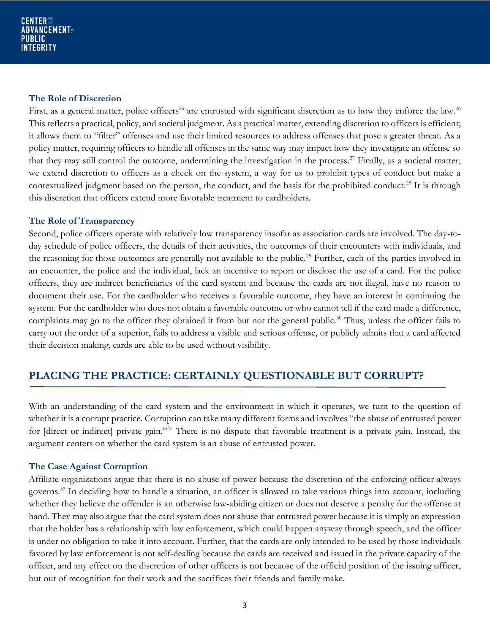#### **The Role of Discretion**

First, as a general matter, police officers<sup>25</sup> are entrusted with significant discretion as to how they enforce the law.<sup>26</sup> This reflects a practical, policy, and societal judgment. As a practical matter, extending discretion to officers is efficient; it allows them to "filter" offenses and use their limited resources to address offenses that pose a greater threat. As a policy matter, requiring officers to handle all offenses in the same way may impact how they investigate an offense so that they may still control the outcome, undermining the investigation in the process.<sup>27</sup> Finally, as a societal matter, we extend discretion to officers as a check on the system, a way for us to prohibit types of conduct but make a contextualized judgment based on the person, the conduct, and the basis for the prohibited conduct.<sup>28</sup> It is through this discretion that officers extend more favorable treatment to cardholders.

#### **The Role of Transparency**

Second, police officers operate with relatively low transparency insofar as association cards are involved. The day-today schedule of police officers, the details of their activities, the outcomes of their encounters with individuals, and the reasoning for those outcomes are generally not available to the public.<sup>29</sup> Further, each of the parties involved in an encounter, the police and the individual, lack an incentive to report or disclose the use of a card. For the police officers, they are indirect beneficiaries of the card system and because the cards are not illegal, have no reason to document their use. For the cardholder who receives a favorable outcome, they have an interest in continuing the system. For the cardholder who does not obtain a favorable outcome or who cannot tell if the card made a difference, complaints may go to the officer they obtained it from but not the general public.<sup>30</sup> Thus, unless the officer fails to carry out the order of a superior, fails to address a visible and serious offense, or publicly admits that a card affected their decision making, cards are able to be used without visibility.

# **PLACING THE PRACTICE: CERTAINLY QUESTIONABLE BUT CORRUPT?**

With an understanding of the card system and the environment in which it operates, we turn to the question of whether it is a corrupt practice. Corruption can take many different forms and involves "the abuse of entrusted power for [direct or indirect] private gain."<sup>31</sup> There is no dispute that favorable treatment is a private gain. Instead, the argument centers on whether the card system is an abuse of entrusted power.

#### **The Case Against Corruption**

Affiliate organizations argue that there is no abuse of power because the discretion of the enforcing officer always governs.<sup>32</sup> In deciding how to handle a situation, an officer is allowed to take various things into account, including whether they believe the offender is an otherwise law-abiding citizen or does not deserve a penalty for the offense at hand. They may also argue that the card system does not abuse that entrusted power because it is simply an expression that the holder has a relationship with law enforcement, which could happen anyway through speech, and the officer is under no obligation to take it into account. Further, that the cards are only intended to be used by those individuals favored by law enforcement is not self-dealing because the cards are received and issued in the private capacity of the officer, and any effect on the discretion of other officers is not because of the official position of the issuing officer, but out of recognition for their work and the sacrifices their friends and family make.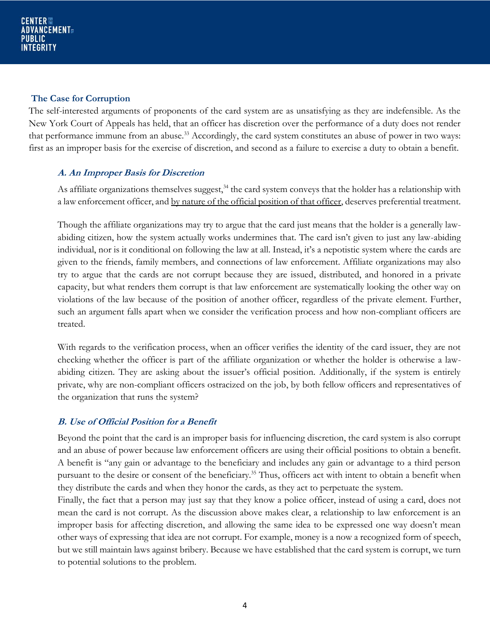#### **The Case for Corruption**

The self-interested arguments of proponents of the card system are as unsatisfying as they are indefensible. As the New York Court of Appeals has held, that an officer has discretion over the performance of a duty does not render that performance immune from an abuse.<sup>33</sup> Accordingly, the card system constitutes an abuse of power in two ways: first as an improper basis for the exercise of discretion, and second as a failure to exercise a duty to obtain a benefit.

#### **A. An Improper Basis for Discretion**

As affiliate organizations themselves suggest,  $34$  the card system conveys that the holder has a relationship with a law enforcement officer, and by nature of the official position of that officer, deserves preferential treatment.

Though the affiliate organizations may try to argue that the card just means that the holder is a generally lawabiding citizen, how the system actually works undermines that. The card isn't given to just any law-abiding individual, nor is it conditional on following the law at all. Instead, it's a nepotistic system where the cards are given to the friends, family members, and connections of law enforcement. Affiliate organizations may also try to argue that the cards are not corrupt because they are issued, distributed, and honored in a private capacity, but what renders them corrupt is that law enforcement are systematically looking the other way on violations of the law because of the position of another officer, regardless of the private element. Further, such an argument falls apart when we consider the verification process and how non-compliant officers are treated.

With regards to the verification process, when an officer verifies the identity of the card issuer, they are not checking whether the officer is part of the affiliate organization or whether the holder is otherwise a lawabiding citizen. They are asking about the issuer's official position. Additionally, if the system is entirely private, why are non-compliant officers ostracized on the job, by both fellow officers and representatives of the organization that runs the system?

#### **B. Use of Official Position for a Benefit**

Beyond the point that the card is an improper basis for influencing discretion, the card system is also corrupt and an abuse of power because law enforcement officers are using their official positions to obtain a benefit. A benefit is "any gain or advantage to the beneficiary and includes any gain or advantage to a third person pursuant to the desire or consent of the beneficiary.<sup>35</sup> Thus, officers act with intent to obtain a benefit when they distribute the cards and when they honor the cards, as they act to perpetuate the system.

Finally, the fact that a person may just say that they know a police officer, instead of using a card, does not mean the card is not corrupt. As the discussion above makes clear, a relationship to law enforcement is an improper basis for affecting discretion, and allowing the same idea to be expressed one way doesn't mean other ways of expressing that idea are not corrupt. For example, money is a now a recognized form of speech, but we still maintain laws against bribery. Because we have established that the card system is corrupt, we turn to potential solutions to the problem.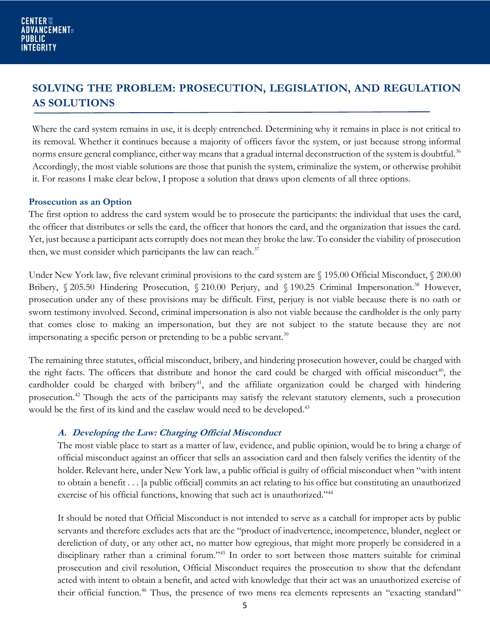# **SOLVING THE PROBLEM: PROSECUTION, LEGISLATION, AND REGULATION AS SOLUTIONS**

Where the card system remains in use, it is deeply entrenched. Determining why it remains in place is not critical to its removal. Whether it continues because a majority of officers favor the system, or just because strong informal norms ensure general compliance, either way means that a gradual internal deconstruction of the system is doubtful.<sup>36</sup> Accordingly, the most viable solutions are those that punish the system, criminalize the system, or otherwise prohibit it. For reasons I make clear below, I propose a solution that draws upon elements of all three options.

#### **Prosecution as an Option**

The first option to address the card system would be to prosecute the participants: the individual that uses the card, the officer that distributes or sells the card, the officer that honors the card, and the organization that issues the card. Yet, just because a participant acts corruptly does not mean they broke the law. To consider the viability of prosecution then, we must consider which participants the law can reach. $37$ 

Under New York law, five relevant criminal provisions to the card system are § 195.00 Official Misconduct, § 200.00 Bribery, § 205.50 Hindering Prosecution, § 210.00 Perjury, and § 190.25 Criminal Impersonation.<sup>38</sup> However, prosecution under any of these provisions may be difficult. First, perjury is not viable because there is no oath or sworn testimony involved. Second, criminal impersonation is also not viable because the cardholder is the only party that comes close to making an impersonation, but they are not subject to the statute because they are not impersonating a specific person or pretending to be a public servant.<sup>39</sup>

The remaining three statutes, official misconduct, bribery, and hindering prosecution however, could be charged with the right facts. The officers that distribute and honor the card could be charged with official misconduct<sup>40</sup>, the cardholder could be charged with bribery<sup>41</sup>, and the affiliate organization could be charged with hindering prosecution.<sup>42</sup> Though the acts of the participants may satisfy the relevant statutory elements, such a prosecution would be the first of its kind and the caselaw would need to be developed.<sup>43</sup>

#### **A. Developing the Law: Charging Official Misconduct**

The most viable place to start as a matter of law, evidence, and public opinion, would be to bring a charge of official misconduct against an officer that sells an association card and then falsely verifies the identity of the holder. Relevant here, under New York law, a public official is guilty of official misconduct when "with intent to obtain a benefit . . . [a public official] commits an act relating to his office but constituting an unauthorized exercise of his official functions, knowing that such act is unauthorized."<sup>44</sup>

It should be noted that Official Misconduct is not intended to serve as a catchall for improper acts by public servants and therefore excludes acts that are the "product of inadvertence, incompetence, blunder, neglect or dereliction of duty, or any other act, no matter how egregious, that might more properly be considered in a disciplinary rather than a criminal forum."<sup>45</sup> In order to sort between those matters suitable for criminal prosecution and civil resolution, Official Misconduct requires the prosecution to show that the defendant acted with intent to obtain a benefit, and acted with knowledge that their act was an unauthorized exercise of their official function.<sup>46</sup> Thus, the presence of two mens rea elements represents an "exacting standard"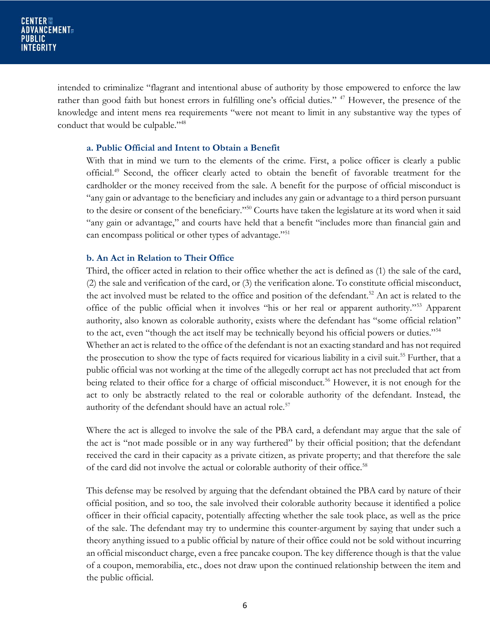intended to criminalize "flagrant and intentional abuse of authority by those empowered to enforce the law rather than good faith but honest errors in fulfilling one's official duties." <sup>47</sup> However, the presence of the knowledge and intent mens rea requirements "were not meant to limit in any substantive way the types of conduct that would be culpable."<sup>48</sup>

#### **a. Public Official and Intent to Obtain a Benefit**

With that in mind we turn to the elements of the crime. First, a police officer is clearly a public official.<sup>49</sup> Second, the officer clearly acted to obtain the benefit of favorable treatment for the cardholder or the money received from the sale. A benefit for the purpose of official misconduct is "any gain or advantage to the beneficiary and includes any gain or advantage to a third person pursuant to the desire or consent of the beneficiary."<sup>50</sup> Courts have taken the legislature at its word when it said "any gain or advantage," and courts have held that a benefit "includes more than financial gain and can encompass political or other types of advantage."<sup>51</sup>

#### **b. An Act in Relation to Their Office**

Third, the officer acted in relation to their office whether the act is defined as (1) the sale of the card, (2) the sale and verification of the card, or (3) the verification alone. To constitute official misconduct, the act involved must be related to the office and position of the defendant.<sup>52</sup> An act is related to the office of the public official when it involves "his or her real or apparent authority."<sup>53</sup> Apparent authority, also known as colorable authority, exists where the defendant has "some official relation" to the act, even "though the act itself may be technically beyond his official powers or duties."<sup>54</sup> Whether an act is related to the office of the defendant is not an exacting standard and has not required the prosecution to show the type of facts required for vicarious liability in a civil suit.<sup>55</sup> Further, that a public official was not working at the time of the allegedly corrupt act has not precluded that act from being related to their office for a charge of official misconduct.<sup>56</sup> However, it is not enough for the act to only be abstractly related to the real or colorable authority of the defendant. Instead, the authority of the defendant should have an actual role.<sup>57</sup>

Where the act is alleged to involve the sale of the PBA card, a defendant may argue that the sale of the act is "not made possible or in any way furthered" by their official position; that the defendant received the card in their capacity as a private citizen, as private property; and that therefore the sale of the card did not involve the actual or colorable authority of their office.<sup>58</sup>

This defense may be resolved by arguing that the defendant obtained the PBA card by nature of their official position, and so too, the sale involved their colorable authority because it identified a police officer in their official capacity, potentially affecting whether the sale took place, as well as the price of the sale. The defendant may try to undermine this counter-argument by saying that under such a theory anything issued to a public official by nature of their office could not be sold without incurring an official misconduct charge, even a free pancake coupon. The key difference though is that the value of a coupon, memorabilia, etc., does not draw upon the continued relationship between the item and the public official.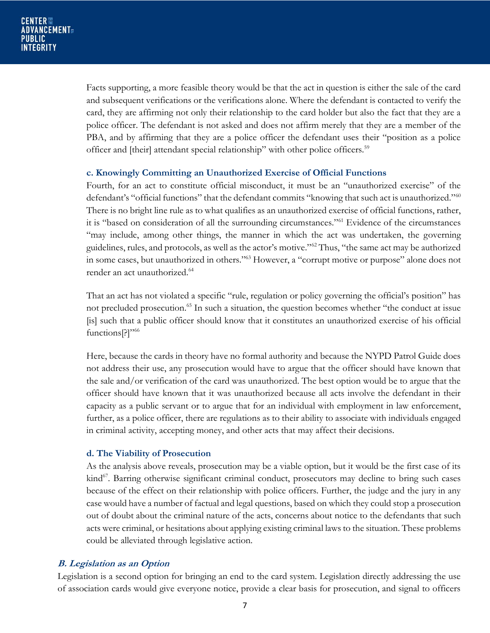Facts supporting, a more feasible theory would be that the act in question is either the sale of the card and subsequent verifications or the verifications alone. Where the defendant is contacted to verify the card, they are affirming not only their relationship to the card holder but also the fact that they are a police officer. The defendant is not asked and does not affirm merely that they are a member of the PBA, and by affirming that they are a police officer the defendant uses their "position as a police officer and [their] attendant special relationship" with other police officers.<sup>59</sup>

#### **c. Knowingly Committing an Unauthorized Exercise of Official Functions**

Fourth, for an act to constitute official misconduct, it must be an "unauthorized exercise" of the defendant's "official functions" that the defendant commits "knowing that such act is unauthorized."<sup>60</sup> There is no bright line rule as to what qualifies as an unauthorized exercise of official functions, rather, it is "based on consideration of all the surrounding circumstances."<sup>61</sup> Evidence of the circumstances "may include, among other things, the manner in which the act was undertaken, the governing guidelines, rules, and protocols, as well as the actor's motive."<sup>62</sup> Thus, "the same act may be authorized in some cases, but unauthorized in others."<sup>63</sup> However, a "corrupt motive or purpose" alone does not render an act unauthorized.<sup>64</sup>

That an act has not violated a specific "rule, regulation or policy governing the official's position" has not precluded prosecution.<sup>65</sup> In such a situation, the question becomes whether "the conduct at issue [is] such that a public officer should know that it constitutes an unauthorized exercise of his official functions<sup>[?]"66</sup>

Here, because the cards in theory have no formal authority and because the NYPD Patrol Guide does not address their use, any prosecution would have to argue that the officer should have known that the sale and/or verification of the card was unauthorized. The best option would be to argue that the officer should have known that it was unauthorized because all acts involve the defendant in their capacity as a public servant or to argue that for an individual with employment in law enforcement, further, as a police officer, there are regulations as to their ability to associate with individuals engaged in criminal activity, accepting money, and other acts that may affect their decisions.

#### **d. The Viability of Prosecution**

As the analysis above reveals, prosecution may be a viable option, but it would be the first case of its kind<sup>67</sup>. Barring otherwise significant criminal conduct, prosecutors may decline to bring such cases because of the effect on their relationship with police officers. Further, the judge and the jury in any case would have a number of factual and legal questions, based on which they could stop a prosecution out of doubt about the criminal nature of the acts, concerns about notice to the defendants that such acts were criminal, or hesitations about applying existing criminal laws to the situation. These problems could be alleviated through legislative action.

#### **B. Legislation as an Option**

Legislation is a second option for bringing an end to the card system. Legislation directly addressing the use of association cards would give everyone notice, provide a clear basis for prosecution, and signal to officers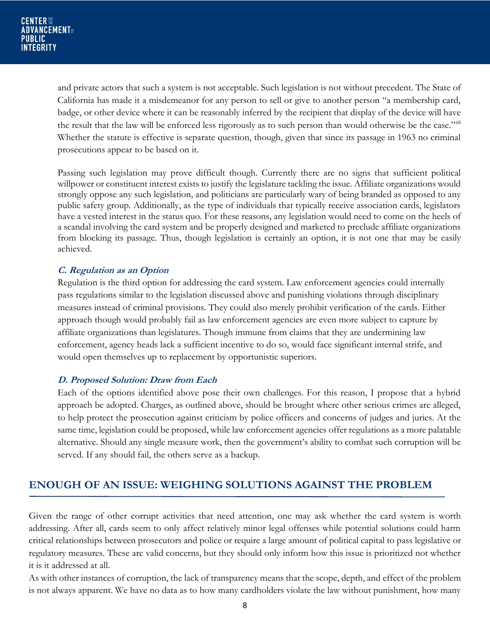and private actors that such a system is not acceptable. Such legislation is not without precedent. The State of California has made it a misdemeanor for any person to sell or give to another person "a membership card, badge, or other device where it can be reasonably inferred by the recipient that display of the device will have the result that the law will be enforced less rigorously as to such person than would otherwise be the case."<sup>68</sup> Whether the statute is effective is separate question, though, given that since its passage in 1963 no criminal prosecutions appear to be based on it.

Passing such legislation may prove difficult though. Currently there are no signs that sufficient political willpower or constituent interest exists to justify the legislature tackling the issue. Affiliate organizations would strongly oppose any such legislation, and politicians are particularly wary of being branded as opposed to any public safety group. Additionally, as the type of individuals that typically receive association cards, legislators have a vested interest in the status quo. For these reasons, any legislation would need to come on the heels of a scandal involving the card system and be properly designed and marketed to preclude affiliate organizations from blocking its passage. Thus, though legislation is certainly an option, it is not one that may be easily achieved.

#### **C. Regulation as an Option**

Regulation is the third option for addressing the card system. Law enforcement agencies could internally pass regulations similar to the legislation discussed above and punishing violations through disciplinary measures instead of criminal provisions. They could also merely prohibit verification of the cards. Either approach though would probably fail as law enforcement agencies are even more subject to capture by affiliate organizations than legislatures. Though immune from claims that they are undermining law enforcement, agency heads lack a sufficient incentive to do so, would face significant internal strife, and would open themselves up to replacement by opportunistic superiors.

#### **D. Proposed Solution: Draw from Each**

Each of the options identified above pose their own challenges. For this reason, I propose that a hybrid approach be adopted. Charges, as outlined above, should be brought where other serious crimes are alleged, to help protect the prosecution against criticism by police officers and concerns of judges and juries. At the same time, legislation could be proposed, while law enforcement agencies offer regulations as a more palatable alternative. Should any single measure work, then the government's ability to combat such corruption will be served. If any should fail, the others serve as a backup.

# **ENOUGH OF AN ISSUE: WEIGHING SOLUTIONS AGAINST THE PROBLEM**

Given the range of other corrupt activities that need attention, one may ask whether the card system is worth addressing. After all, cards seem to only affect relatively minor legal offenses while potential solutions could harm critical relationships between prosecutors and police or require a large amount of political capital to pass legislative or regulatory measures. These are valid concerns, but they should only inform how this issue is prioritized not whether it is it addressed at all.

As with other instances of corruption, the lack of transparency means that the scope, depth, and effect of the problem is not always apparent. We have no data as to how many cardholders violate the law without punishment, how many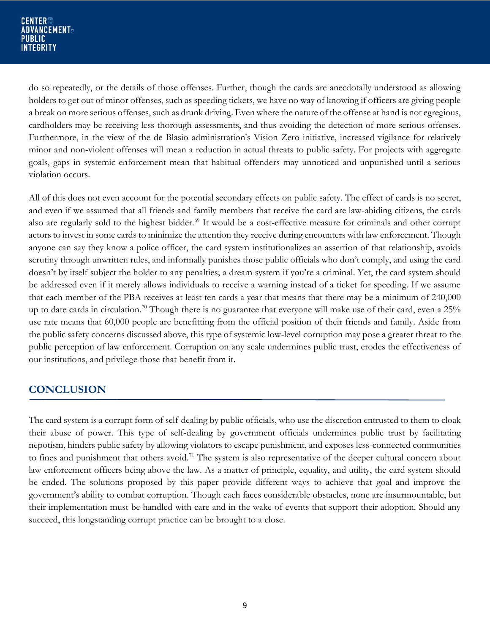do so repeatedly, or the details of those offenses. Further, though the cards are anecdotally understood as allowing holders to get out of minor offenses, such as speeding tickets, we have no way of knowing if officers are giving people a break on more serious offenses, such as drunk driving. Even where the nature of the offense at hand is not egregious, cardholders may be receiving less thorough assessments, and thus avoiding the detection of more serious offenses. Furthermore, in the view of the de Blasio administration's Vision Zero initiative, increased vigilance for relatively minor and non-violent offenses will mean a reduction in actual threats to public safety. For projects with aggregate goals, gaps in systemic enforcement mean that habitual offenders may unnoticed and unpunished until a serious violation occurs.

All of this does not even account for the potential secondary effects on public safety. The effect of cards is no secret, and even if we assumed that all friends and family members that receive the card are law-abiding citizens, the cards also are regularly sold to the highest bidder.<sup>69</sup> It would be a cost-effective measure for criminals and other corrupt actors to invest in some cards to minimize the attention they receive during encounters with law enforcement. Though anyone can say they know a police officer, the card system institutionalizes an assertion of that relationship, avoids scrutiny through unwritten rules, and informally punishes those public officials who don't comply, and using the card doesn't by itself subject the holder to any penalties; a dream system if you're a criminal. Yet, the card system should be addressed even if it merely allows individuals to receive a warning instead of a ticket for speeding. If we assume that each member of the PBA receives at least ten cards a year that means that there may be a minimum of 240,000 up to date cards in circulation.<sup>70</sup> Though there is no guarantee that everyone will make use of their card, even a  $25\%$ use rate means that 60,000 people are benefitting from the official position of their friends and family. Aside from the public safety concerns discussed above, this type of systemic low-level corruption may pose a greater threat to the public perception of law enforcement. Corruption on any scale undermines public trust, erodes the effectiveness of our institutions, and privilege those that benefit from it.

# **CONCLUSION**

The card system is a corrupt form of self-dealing by public officials, who use the discretion entrusted to them to cloak their abuse of power. This type of self-dealing by government officials undermines public trust by facilitating nepotism, hinders public safety by allowing violators to escape punishment, and exposes less-connected communities to fines and punishment that others avoid.<sup>71</sup> The system is also representative of the deeper cultural concern about law enforcement officers being above the law. As a matter of principle, equality, and utility, the card system should be ended. The solutions proposed by this paper provide different ways to achieve that goal and improve the government's ability to combat corruption. Though each faces considerable obstacles, none are insurmountable, but their implementation must be handled with care and in the wake of events that support their adoption. Should any succeed, this longstanding corrupt practice can be brought to a close.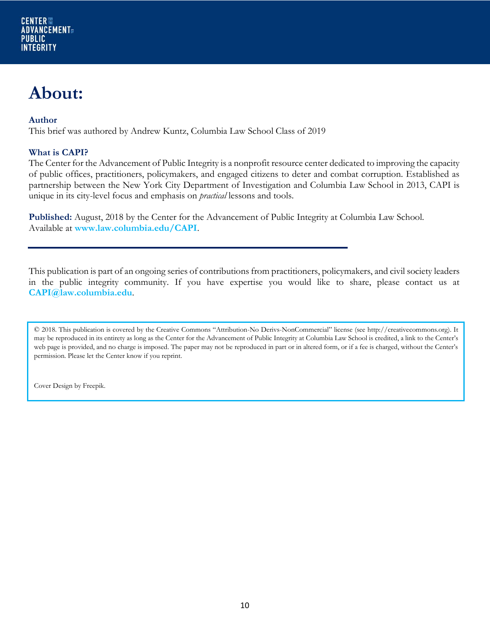# **About:**

#### **Author**

This brief was authored by Andrew Kuntz, Columbia Law School Class of 2019

#### **What is CAPI?**

The Center for the Advancement of Public Integrity is a nonprofit resource center dedicated to improving the capacity of public offices, practitioners, policymakers, and engaged citizens to deter and combat corruption. Established as partnership between the New York City Department of Investigation and Columbia Law School in 2013, CAPI is unique in its city-level focus and emphasis on *practical* lessons and tools.

**Published:** August, 2018 by the Center for the Advancement of Public Integrity at Columbia Law School. Available at **www.law.columbia.edu/CAPI**.

This publication is part of an ongoing series of contributions from practitioners, policymakers, and civil society leaders in the public integrity community. If you have expertise you would like to share, please contact us at **CAPI@law.columbia.edu**.

© 2018. This publication is covered by the Creative Commons "Attribution-No Derivs-NonCommercial" license (see http://creativecommons.org). It may be reproduced in its entirety as long as the Center for the Advancement of Public Integrity at Columbia Law School is credited, a link to the Center's web page is provided, and no charge is imposed. The paper may not be reproduced in part or in altered form, or if a fee is charged, without the Center's permission. Please let the Center know if you reprint.

Cover Design by Freepik.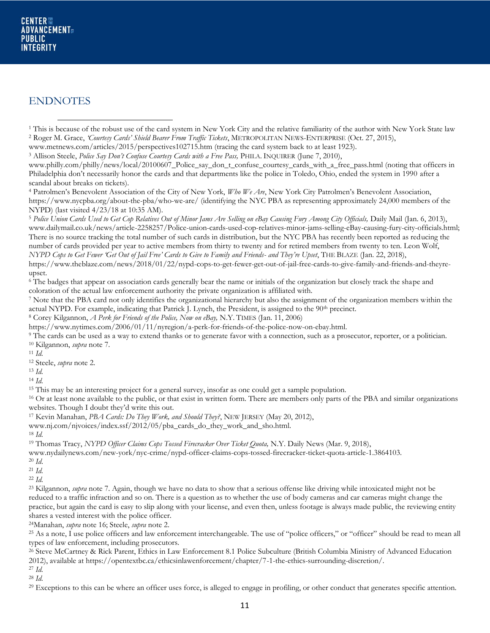#### ENDNOTES

www.metnews.com/articles/2015/perspectives102715.htm (tracing the card system back to at least 1923).

<sup>3</sup> Allison Steele, *Police Say Don't Confuse Courtesy Cards with a Free Pass,* PHILA. INQUIRER (June 7, 2010),

www.philly.com/philly/news/local/20100607\_Police\_say\_don\_t\_confuse\_courtesy\_cards\_with\_a\_free\_pass.html (noting that officers in Philadelphia don't necessarily honor the cards and that departments like the police in Toledo, Ohio, ended the system in 1990 after a scandal about breaks on tickets).

<sup>4</sup> Patrolmen's Benevolent Association of the City of New York, *Who We Are*, New York City Patrolmen's Benevolent Association, https://www.nycpba.org/about-the-pba/who-we-are/ (identifying the NYC PBA as representing approximately 24,000 members of the NYPD) (last visited 4/23/18 at 10:35 AM).

<sup>5</sup> *Police Union Cards Used to Get Cop Relatives Out of Minor Jams Are Selling on eBay Causing Fury Among City Officials,* Daily Mail (Jan. 6, 2013), www.dailymail.co.uk/news/article-2258257/Police-union-cards-used-cop-relatives-minor-jams-selling-eBay-causing-fury-city-officials.html; There is no source tracking the total number of such cards in distribution, but the NYC PBA has recently been reported as reducing the number of cards provided per year to active members from thirty to twenty and for retired members from twenty to ten. Leon Wolf, *NYPD Cops to Get Fewer 'Get Out of Jail Free' Cards to Give to Family and Friends- and They're Upset*, THE BLAZE (Jan. 22, 2018),

https://www.theblaze.com/news/2018/01/22/nypd-cops-to-get-fewer-get-out-of-jail-free-cards-to-give-family-and-friends-and-theyreupset.

<sup>6</sup> The badges that appear on association cards generally bear the name or initials of the organization but closely track the shape and coloration of the actual law enforcement authority the private organization is affiliated with.

<sup>7</sup> Note that the PBA card not only identifies the organizational hierarchy but also the assignment of the organization members within the actual NYPD. For example, indicating that Patrick J. Lynch, the President, is assigned to the 90th precinct.

<sup>8</sup> Corey Kilgannon, *A Perk for Friends of the Police, Now on eBay,* N.Y. TIMES (Jan. 11, 2006)

https://www.nytimes.com/2006/01/11/nyregion/a-perk-for-friends-of-the-police-now-on-ebay.html.

<sup>9</sup> The cards can be used as a way to extend thanks or to generate favor with a connection, such as a prosecutor, reporter, or a politician. <sup>10</sup> Kilgannon, *supra* note 7.

<sup>11</sup> *Id.* 

<sup>12</sup> Steele, *supra* note 2.

<sup>13</sup> *Id.*

<sup>14</sup> *Id.* 

<sup>15</sup> This may be an interesting project for a general survey, insofar as one could get a sample population.

<sup>16</sup> Or at least none available to the public, or that exist in written form. There are members only parts of the PBA and similar organizations websites. Though I doubt they'd write this out.

<sup>17</sup> Kevin Manahan, *PBA Cards: Do They Work, and Should They?*, NEW JERSEY (May 20, 2012),

www.nj.com/njvoices/index.ssf/2012/05/pba\_cards\_do\_they\_work\_and\_sho.html.

<sup>18</sup> *Id.*

<sup>19</sup> Thomas Tracy, *NYPD Officer Claims Cops Tossed Firecracker Over Ticket Quota,* N.Y. Daily News (Mar. 9, 2018),

www.nydailynews.com/new-york/nyc-crime/nypd-officer-claims-cops-tossed-firecracker-ticket-quota-article-1.3864103.

<sup>20</sup> *Id*.

<sup>21</sup> *Id.* 

<sup>22</sup> *Id.*

<sup>23</sup> Kilgannon, *supra* note 7. Again, though we have no data to show that a serious offense like driving while intoxicated might not be reduced to a traffic infraction and so on. There is a question as to whether the use of body cameras and car cameras might change the practice, but again the card is easy to slip along with your license, and even then, unless footage is always made public, the reviewing entity shares a vested interest with the police officer.

<sup>24</sup>Manahan, *supra* note 16; Steele, *supra* note 2.

<sup>25</sup> As a note, I use police officers and law enforcement interchangeable. The use of "police officers," or "officer" should be read to mean all types of law enforcement, including prosecutors.

<sup>26</sup> Steve McCartney & Rick Parent, Ethics in Law Enforcement 8.1 Police Subculture (British Columbia Ministry of Advanced Education 2012), available at https://opentextbc.ca/ethicsinlawenforcement/chapter/7-1-the-ethics-surrounding-discretion/.

<sup>27</sup> *Id.*

<sup>28</sup> *Id.*

<sup>29</sup> Exceptions to this can be where an officer uses force, is alleged to engage in profiling, or other conduct that generates specific attention.

<sup>1</sup> This is because of the robust use of the card system in New York City and the relative familiarity of the author with New York State law <sup>2</sup> Roger M. Grace, *'Courtesy Cards' Shield Bearer From Traffic Tickets*, METROPOLITAN NEWS-ENTERPRISE (Oct. 27, 2015),  $\overline{\phantom{a}}$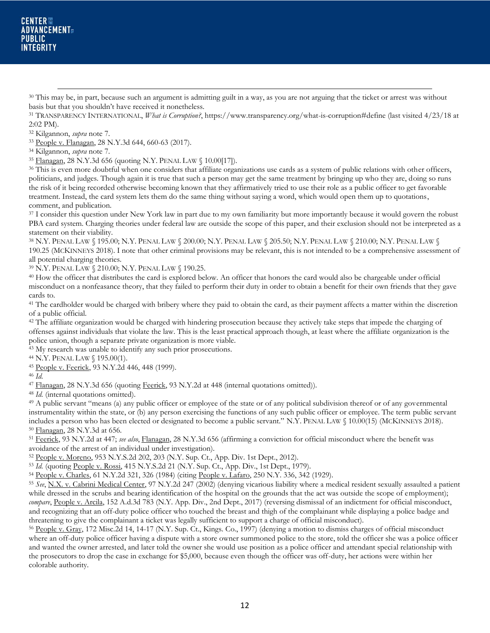<sup>30</sup> This may be, in part, because such an argument is admitting guilt in a way, as you are not arguing that the ticket or arrest was without basis but that you shouldn't have received it nonetheless.

<sup>31</sup> TRANSPARENCY INTERNATIONAL, *What is Corruption?*, https://www.transparency.org/what-is-corruption#define (last visited 4/23/18 at 2:02 PM).

<sup>32</sup> Kilgannon, *supra* note 7.

 $\overline{\phantom{a}}$ 

<sup>33</sup> People v. Flanagan, 28 N.Y.3d 644, 660-63 (2017).

<sup>34</sup> Kilgannon, *supra* note 7.

<sup>35</sup> Flanagan, 28 N.Y.3d 656 (quoting N.Y. PENAL LAW § 10.00[17]).

<sup>36</sup> This is even more doubtful when one considers that affiliate organizations use cards as a system of public relations with other officers, politicians, and judges. Though again it is true that such a person may get the same treatment by bringing up who they are, doing so runs the risk of it being recorded otherwise becoming known that they affirmatively tried to use their role as a public officer to get favorable treatment. Instead, the card system lets them do the same thing without saying a word, which would open them up to quotations, comment, and publication.

<sup>37</sup> I consider this question under New York law in part due to my own familiarity but more importantly because it would govern the robust PBA card system. Charging theories under federal law are outside the scope of this paper, and their exclusion should not be interpreted as a statement on their viability.

<sup>38</sup> N.Y. PENAL LAW § 195.00; N.Y. PENAL LAW § 200.00; N.Y. PENAL LAW § 205.50; N.Y. PENAL LAW § 210.00; N.Y. PENAL LAW § 190.25 (MCKINNEYS 2018). I note that other criminal provisions may be relevant, this is not intended to be a comprehensive assessment of all potential charging theories.

<sup>39</sup> N.Y. PENAL LAW § 210.00; N.Y. PENAL LAW § 190.25.

<sup>40</sup> How the officer that distributes the card is explored below. An officer that honors the card would also be chargeable under official misconduct on a nonfeasance theory, that they failed to perform their duty in order to obtain a benefit for their own friends that they gave cards to.

<sup>41</sup> The cardholder would be charged with bribery where they paid to obtain the card, as their payment affects a matter within the discretion of a public official.

<sup>42</sup> The affiliate organization would be charged with hindering prosecution because they actively take steps that impede the charging of offenses against individuals that violate the law. This is the least practical approach though, at least where the affiliate organization is the police union, though a separate private organization is more viable.

<sup>43</sup> My research was unable to identify any such prior prosecutions.

<sup>44</sup> N.Y. PENAL LAW § 195.00(1).

<sup>45</sup> People v. Feerick, 93 N.Y.2d 446, 448 (1999).

<sup>46</sup> *Id.*

<sup>47</sup> Flanagan, 28 N.Y.3d 656 (quoting Feerick, 93 N.Y.2d at 448 (internal quotations omitted)).

<sup>48</sup> *Id.* (internal quotations omitted).

<sup>49</sup> A public servant "means (a) any public officer or employee of the state or of any political subdivision thereof or of any governmental instrumentality within the state, or (b) any person exercising the functions of any such public officer or employee. The term public servant includes a person who has been elected or designated to become a public servant." N.Y. PENAL LAW § 10.00(15) (MCKINNEYS 2018). <sup>50</sup> Flanagan, 28 N.Y.3d at 656.

<sup>51</sup> Feerick, 93 N.Y.2d at 447; *see also*, Flanagan, 28 N.Y.3d 656 (affirming a conviction for official misconduct where the benefit was avoidance of the arrest of an individual under investigation).

<sup>52</sup> People v. Moreno, 953 N.Y.S.2d 202, 203 (N.Y. Sup. Ct., App. Div. 1st Dept., 2012).

<sup>53</sup> *Id.* (quoting People v. Rossi, 415 N.Y.S.2d 21 (N.Y. Sup. Ct., App. Div., 1st Dept., 1979).

<sup>54</sup> People v. Charles, 61 N.Y.2d 321, 326 (1984) (citing People v. Lafaro, 250 N.Y. 336, 342 (1929).

<sup>55</sup> *See*, N.X. v. Cabrini Medical Center, 97 N.Y.2d 247 (2002) (denying vicarious liability where a medical resident sexually assaulted a patient while dressed in the scrubs and bearing identification of the hospital on the grounds that the act was outside the scope of employment); compare, People v. Arcila, 152 A.d.3d 783 (N.Y. App. Div., 2nd Dept., 2017) (reversing dismissal of an indictment for official misconduct, and recognizing that an off-duty police officer who touched the breast and thigh of the complainant while displaying a police badge and threatening to give the complainant a ticket was legally sufficient to support a charge of official misconduct).

<sup>56</sup> People v. Gray, 172 Misc.2d 14, 14-17 (N.Y. Sup. Ct., Kings. Co., 1997) (denying a motion to dismiss charges of official misconduct where an off-duty police officer having a dispute with a store owner summoned police to the store, told the officer she was a police officer and wanted the owner arrested, and later told the owner she would use position as a police officer and attendant special relationship with the prosecutors to drop the case in exchange for \$5,000, because even though the officer was off-duty, her actions were within her colorable authority.